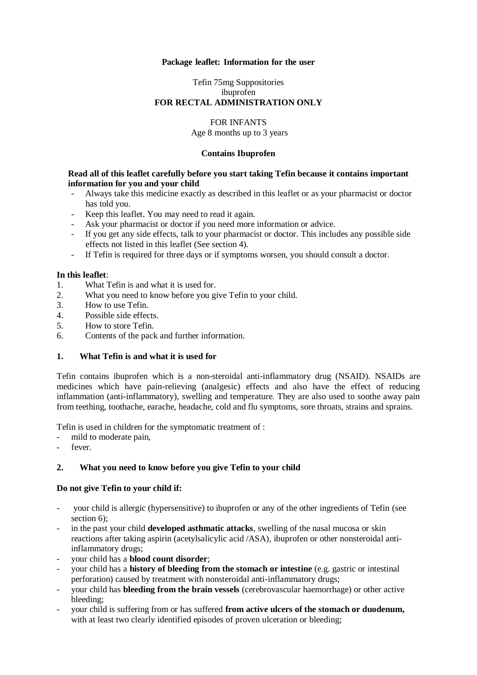#### **Package leaflet: Information for the user**

### Tefin 75mg Suppositories ibuprofen **FOR RECTAL ADMINISTRATION ONLY**

# FOR INFANTS

Age 8 months up to 3 years

### **Contains Ibuprofen**

#### **Read all of this leaflet carefully before you start taking Tefin because it contains important information for you and your child**

- Always take this medicine exactly as described in this leaflet or as your pharmacist or doctor has told you.
- Keep this leaflet. You may need to read it again.
- Ask your pharmacist or doctor if you need more information or advice.
- If you get any side effects, talk to your pharmacist or doctor. This includes any possible side effects not listed in this leaflet (See section 4).
- If Tefin is required for three days or if symptoms worsen, you should consult a doctor.

### **In this leaflet**:

- 1. What Tefin is and what it is used for.
- 2. What you need to know before you give Tefin to your child.
- 3. How to use Tefin.
- 4. Possible side effects.
- 5. How to store Tefin.
- 6. Contents of the pack and further information.

## **1. What Tefin is and what it is used for**

Tefin contains ibuprofen which is a non-steroidal anti-inflammatory drug (NSAID). NSAIDs are medicines which have pain-relieving (analgesic) effects and also have the effect of reducing inflammation (anti-inflammatory), swelling and temperature. They are also used to soothe away pain from teething, toothache, earache, headache, cold and flu symptoms, sore throats, strains and sprains.

Tefin is used in children for the symptomatic treatment of :

- mild to moderate pain,
- fever.

## **2. What you need to know before you give Tefin to your child**

### **Do not give Tefin to your child if:**

- your child is allergic (hypersensitive) to ibuprofen or any of the other ingredients of Tefin (see section 6):
- in the past your child **developed asthmatic attacks**, swelling of the nasal mucosa or skin reactions after taking aspirin (acetylsalicylic acid /ASA), ibuprofen or other nonsteroidal antiinflammatory drugs;
- your child has a **blood count disorder**;
- your child has a **history of bleeding from the stomach or intestine** (e.g. gastric or intestinal perforation) caused by treatment with nonsteroidal anti-inflammatory drugs;
- your child has **bleeding from the brain vessels** (cerebrovascular haemorrhage) or other active bleeding;
- your child is suffering from or has suffered **from active ulcers of the stomach or duodenum,** with at least two clearly identified episodes of proven ulceration or bleeding;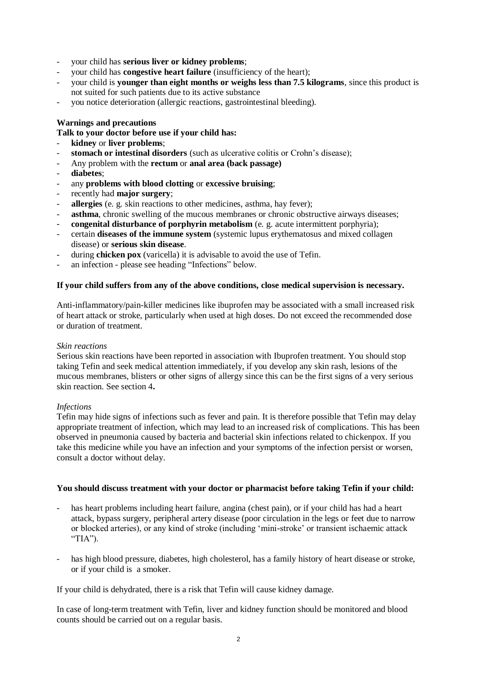- your child has **serious liver or kidney problems**;
- your child has **congestive heart failure** (insufficiency of the heart);
- your child is **younger than eight months or weighs less than 7.5 kilograms**, since this product is not suited for such patients due to its active substance
- you notice deterioration (allergic reactions, gastrointestinal bleeding).

#### **Warnings and precautions**

**Talk to your doctor before use if your child has:**

- **kidney** or **liver problems**;
- stomach or intestinal disorders (such as ulcerative colitis or Crohn's disease);
- Any problem with the **rectum** or **anal area (back passage)**
- **diabetes**;
- any **problems with blood clotting** or **excessive bruising**;
- recently had **major surgery**;
- allergies (e. g. skin reactions to other medicines, asthma, hay fever);
- **asthma**, chronic swelling of the mucous membranes or chronic obstructive airways diseases;
- **congenital disturbance of porphyrin metabolism** (e. g. acute intermittent porphyria);
- certain **diseases of the immune system** (systemic lupus erythematosus and mixed collagen disease) or **serious skin disease**.
- during **chicken pox** (varicella) it is advisable to avoid the use of Tefin.
- an infection please see heading "Infections" below.

#### **If your child suffers from any of the above conditions, close medical supervision is necessary.**

Anti-inflammatory/pain-killer medicines like ibuprofen may be associated with a small increased risk of heart attack or stroke, particularly when used at high doses. Do not exceed the recommended dose or duration of treatment.

#### *Skin reactions*

Serious skin reactions have been reported in association with Ibuprofen treatment. You should stop taking Tefin and seek medical attention immediately, if you develop any skin rash, lesions of the mucous membranes, blisters or other signs of allergy since this can be the first signs of a very serious skin reaction. See section 4**.**

#### *Infections*

Tefin may hide signs of infections such as fever and pain. It is therefore possible that Tefin may delay appropriate treatment of infection, which may lead to an increased risk of complications. This has been observed in pneumonia caused by bacteria and bacterial skin infections related to chickenpox. If you take this medicine while you have an infection and your symptoms of the infection persist or worsen, consult a doctor without delay.

#### **You should discuss treatment with your doctor or pharmacist before taking Tefin if your child:**

- has heart problems including heart failure, angina (chest pain), or if your child has had a heart attack, bypass surgery, peripheral artery disease (poor circulation in the legs or feet due to narrow or blocked arteries), or any kind of stroke (including 'mini-stroke' or transient ischaemic attack "TIA").
- has high blood pressure, diabetes, high cholesterol, has a family history of heart disease or stroke, or if your child is a smoker.

If your child is dehydrated, there is a risk that Tefin will cause kidney damage.

In case of long-term treatment with Tefin, liver and kidney function should be monitored and blood counts should be carried out on a regular basis.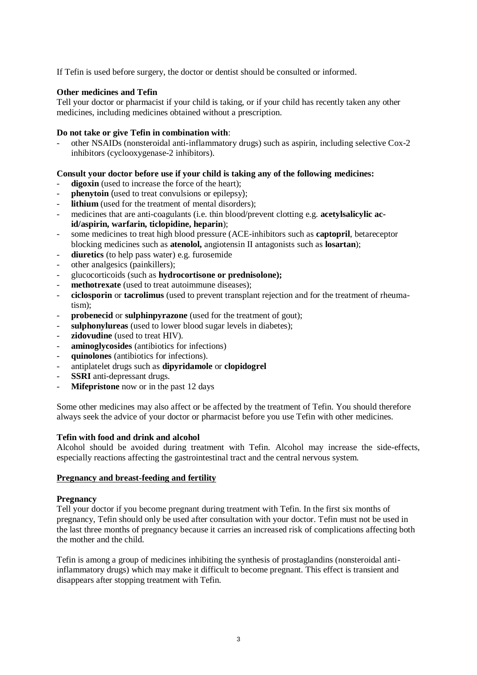If Tefin is used before surgery, the doctor or dentist should be consulted or informed.

### **Other medicines and Tefin**

Tell your doctor or pharmacist if your child is taking, or if your child has recently taken any other medicines, including medicines obtained without a prescription.

### **Do not take or give Tefin in combination with**:

other NSAIDs (nonsteroidal anti-inflammatory drugs) such as aspirin, including selective Cox-2 inhibitors (cyclooxygenase-2 inhibitors).

### **Consult your doctor before use if your child is taking any of the following medicines:**

- digoxin (used to increase the force of the heart);
- **phenytoin** (used to treat convulsions or epilepsy);
- **lithium** (used for the treatment of mental disorders);
- medicines that are anti-coagulants (i.e. thin blood/prevent clotting e.g. **acetylsalicylic acid/aspirin, warfarin, ticlopidine, heparin**);
- some medicines to treat high blood pressure (ACE-inhibitors such as **captopril**, betareceptor blocking medicines such as **atenolol,** angiotensin II antagonists such as **losartan**);
- diuretics (to help pass water) e.g. furosemide
- other analgesics (painkillers);
- glucocorticoids (such as **hydrocortisone or prednisolone);**
- **methotrexate** (used to treat autoimmune diseases);
- **ciclosporin** or **tacrolimus** (used to prevent transplant rejection and for the treatment of rheumatism);
- **probenecid** or **sulphinpyrazone** (used for the treatment of gout);
- sulphonylureas (used to lower blood sugar levels in diabetes);
- **zidovudine** (used to treat HIV).
- **aminoglycosides** (antibiotics for infections)
- **quinolones** (antibiotics for infections).
- antiplatelet drugs such as **dipyridamole** or **clopidogrel**
- **SSRI** anti-depressant drugs.
- **Mifepristone** now or in the past 12 days

Some other medicines may also affect or be affected by the treatment of Tefin. You should therefore always seek the advice of your doctor or pharmacist before you use Tefin with other medicines.

### **Tefin with food and drink and alcohol**

Alcohol should be avoided during treatment with Tefin. Alcohol may increase the side-effects, especially reactions affecting the gastrointestinal tract and the central nervous system.

### **Pregnancy and breast-feeding and fertility**

### **Pregnancy**

Tell your doctor if you become pregnant during treatment with Tefin. In the first six months of pregnancy, Tefin should only be used after consultation with your doctor. Tefin must not be used in the last three months of pregnancy because it carries an increased risk of complications affecting both the mother and the child.

Tefin is among a group of medicines inhibiting the synthesis of prostaglandins (nonsteroidal antiinflammatory drugs) which may make it difficult to become pregnant. This effect is transient and disappears after stopping treatment with Tefin.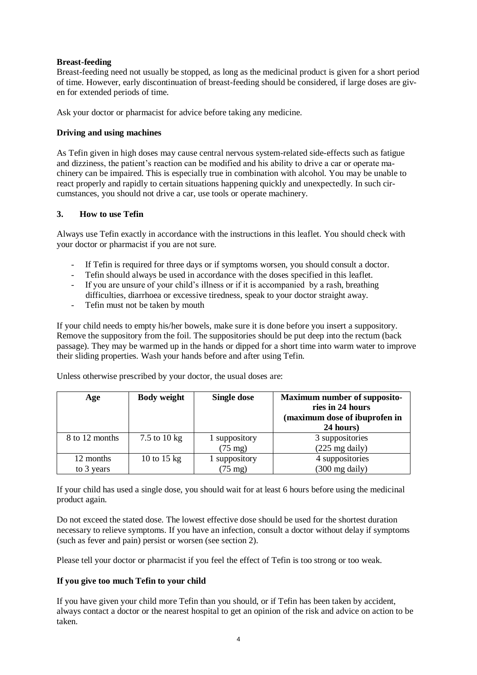## **Breast-feeding**

Breast-feeding need not usually be stopped, as long as the medicinal product is given for a short period of time. However, early discontinuation of breast-feeding should be considered, if large doses are given for extended periods of time.

Ask your doctor or pharmacist for advice before taking any medicine.

## **Driving and using machines**

As Tefin given in high doses may cause central nervous system-related side-effects such as fatigue and dizziness, the patient's reaction can be modified and his ability to drive a car or operate machinery can be impaired. This is especially true in combination with alcohol. You may be unable to react properly and rapidly to certain situations happening quickly and unexpectedly. In such circumstances, you should not drive a car, use tools or operate machinery.

### **3. How to use Tefin**

Always use Tefin exactly in accordance with the instructions in this leaflet. You should check with your doctor or pharmacist if you are not sure.

- If Tefin is required for three days or if symptoms worsen, you should consult a doctor.
- Tefin should always be used in accordance with the doses specified in this leaflet.
- If you are unsure of your child's illness or if it is accompanied by a rash, breathing difficulties, diarrhoea or excessive tiredness, speak to your doctor straight away.
- Tefin must not be taken by mouth

If your child needs to empty his/her bowels, make sure it is done before you insert a suppository. Remove the suppository from the foil. The suppositories should be put deep into the rectum (back passage). They may be warmed up in the hands or dipped for a short time into warm water to improve their sliding properties. Wash your hands before and after using Tefin.

| Age            | <b>Body weight</b> | <b>Single dose</b> | <b>Maximum number of supposito-</b><br>ries in 24 hours<br>(maximum dose of ibuprofen in<br>24 hours) |
|----------------|--------------------|--------------------|-------------------------------------------------------------------------------------------------------|
| 8 to 12 months | 7.5 to 10 kg       | suppository        | 3 suppositories                                                                                       |
|                |                    | $(75 \text{ mg})$  | $(225 \text{ mg daily})$                                                                              |
| 12 months      | 10 to 15 kg        | suppository        | 4 suppositories                                                                                       |
| to 3 years     |                    | $(75 \text{ mg})$  | $(300 \text{ mg daily})$                                                                              |

Unless otherwise prescribed by your doctor, the usual doses are:

If your child has used a single dose, you should wait for at least 6 hours before using the medicinal product again.

Do not exceed the stated dose. The lowest effective dose should be used for the shortest duration necessary to relieve symptoms. If you have an infection, consult a doctor without delay if symptoms (such as fever and pain) persist or worsen (see section 2).

Please tell your doctor or pharmacist if you feel the effect of Tefin is too strong or too weak.

## **If you give too much Tefin to your child**

If you have given your child more Tefin than you should, or if Tefin has been taken by accident, always contact a doctor or the nearest hospital to get an opinion of the risk and advice on action to be taken.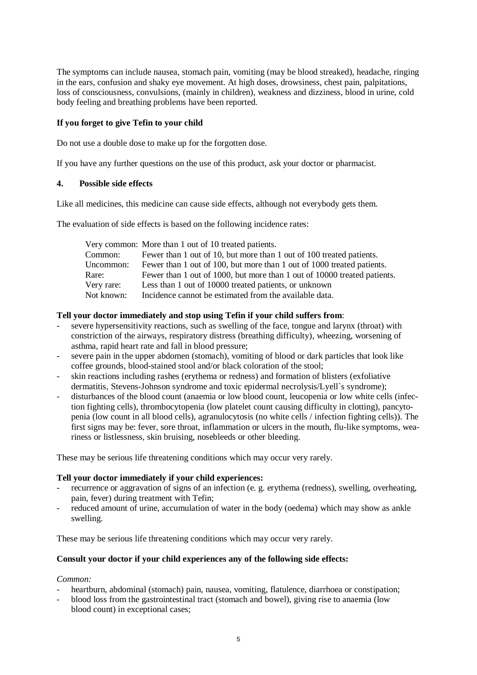The symptoms can include nausea, stomach pain, vomiting (may be blood streaked), headache, ringing in the ears, confusion and shaky eye movement. At high doses, drowsiness, chest pain, palpitations, loss of consciousness, convulsions, (mainly in children), weakness and dizziness, blood in urine, cold body feeling and breathing problems have been reported.

## **If you forget to give Tefin to your child**

Do not use a double dose to make up for the forgotten dose.

If you have any further questions on the use of this product, ask your doctor or pharmacist.

### **4. Possible side effects**

Like all medicines, this medicine can cause side effects, although not everybody gets them.

The evaluation of side effects is based on the following incidence rates:

|            | Very common: More than 1 out of 10 treated patients.                     |
|------------|--------------------------------------------------------------------------|
| Common:    | Fewer than 1 out of 10, but more than 1 out of 100 treated patients.     |
| Uncommon:  | Fewer than 1 out of 100, but more than 1 out of 1000 treated patients.   |
| Rare:      | Fewer than 1 out of 1000, but more than 1 out of 10000 treated patients. |
| Very rare: | Less than 1 out of 10000 treated patients, or unknown                    |
| Not known: | Incidence cannot be estimated from the available data.                   |

### **Tell your doctor immediately and stop using Tefin if your child suffers from**:

- severe hypersensitivity reactions, such as swelling of the face, tongue and larynx (throat) with constriction of the airways, respiratory distress (breathing difficulty), wheezing, worsening of asthma, rapid heart rate and fall in blood pressure;
- severe pain in the upper abdomen (stomach), vomiting of blood or dark particles that look like coffee grounds, blood-stained stool and/or black coloration of the stool;
- skin reactions including rashes (erythema or redness) and formation of blisters (exfoliative dermatitis, Stevens-Johnson syndrome and toxic epidermal necrolysis/Lyell`s syndrome);
- disturbances of the blood count (anaemia or low blood count, leucopenia or low white cells (infection fighting cells), thrombocytopenia (low platelet count causing difficulty in clotting), pancytopenia (low count in all blood cells), agranulocytosis (no white cells / infection fighting cells)). The first signs may be: fever, sore throat, inflammation or ulcers in the mouth, flu-like symptoms, weariness or listlessness, skin bruising, nosebleeds or other bleeding.

These may be serious life threatening conditions which may occur very rarely.

### **Tell your doctor immediately if your child experiences:**

- recurrence or aggravation of signs of an infection (e. g. erythema (redness), swelling, overheating, pain, fever) during treatment with Tefin;
- reduced amount of urine, accumulation of water in the body (oedema) which may show as ankle swelling.

These may be serious life threatening conditions which may occur very rarely.

## **Consult your doctor if your child experiences any of the following side effects:**

### *Common:*

- heartburn, abdominal (stomach) pain, nausea, vomiting, flatulence, diarrhoea or constipation;
- blood loss from the gastrointestinal tract (stomach and bowel), giving rise to anaemia (low blood count) in exceptional cases;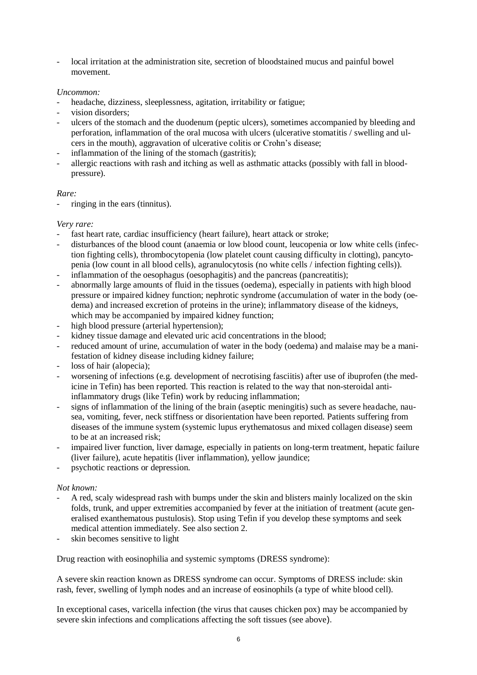- local irritation at the administration site, secretion of bloodstained mucus and painful bowel movement.

## *Uncommon:*

- headache, dizziness, sleeplessness, agitation, irritability or fatigue;
- vision disorders:
- ulcers of the stomach and the duodenum (peptic ulcers), sometimes accompanied by bleeding and perforation, inflammation of the oral mucosa with ulcers (ulcerative stomatitis / swelling and ulcers in the mouth), aggravation of ulcerative colitis or Crohn's disease;
- inflammation of the lining of the stomach (gastritis);
- allergic reactions with rash and itching as well as asthmatic attacks (possibly with fall in bloodpressure).

### *Rare:*

ringing in the ears (tinnitus).

### *Very rare:*

- fast heart rate, cardiac insufficiency (heart failure), heart attack or stroke;
- disturbances of the blood count (anaemia or low blood count, leucopenia or low white cells (infection fighting cells), thrombocytopenia (low platelet count causing difficulty in clotting), pancytopenia (low count in all blood cells), agranulocytosis (no white cells / infection fighting cells)).
- inflammation of the oesophagus (oesophagitis) and the pancreas (pancreatitis);
- abnormally large amounts of fluid in the tissues (oedema), especially in patients with high blood pressure or impaired kidney function; nephrotic syndrome (accumulation of water in the body (oedema) and increased excretion of proteins in the urine); inflammatory disease of the kidneys, which may be accompanied by impaired kidney function;
- high blood pressure (arterial hypertension);
- kidney tissue damage and elevated uric acid concentrations in the blood;
- reduced amount of urine, accumulation of water in the body (oedema) and malaise may be a manifestation of kidney disease including kidney failure;
- loss of hair (alopecia);
- worsening of infections (e.g. development of necrotising fasciitis) after use of ibuprofen (the medicine in Tefin) has been reported. This reaction is related to the way that non-steroidal antiinflammatory drugs (like Tefin) work by reducing inflammation;
- signs of inflammation of the lining of the brain (aseptic meningitis) such as severe headache, nausea, vomiting, fever, neck stiffness or disorientation have been reported. Patients suffering from diseases of the immune system (systemic lupus erythematosus and mixed collagen disease) seem to be at an increased risk;
- impaired liver function, liver damage, especially in patients on long-term treatment, hepatic failure (liver failure), acute hepatitis (liver inflammation), yellow jaundice;
- psychotic reactions or depression.

## *Not known:*

- A red, scaly widespread rash with bumps under the skin and blisters mainly localized on the skin folds, trunk, and upper extremities accompanied by fever at the initiation of treatment (acute generalised exanthematous pustulosis). Stop using Tefin if you develop these symptoms and seek medical attention immediately. See also section 2.
- skin becomes sensitive to light

Drug reaction with eosinophilia and systemic symptoms (DRESS syndrome):

A severe skin reaction known as DRESS syndrome can occur. Symptoms of DRESS include: skin rash, fever, swelling of lymph nodes and an increase of eosinophils (a type of white blood cell).

In exceptional cases, varicella infection (the virus that causes chicken pox) may be accompanied by severe skin infections and complications affecting the soft tissues (see above).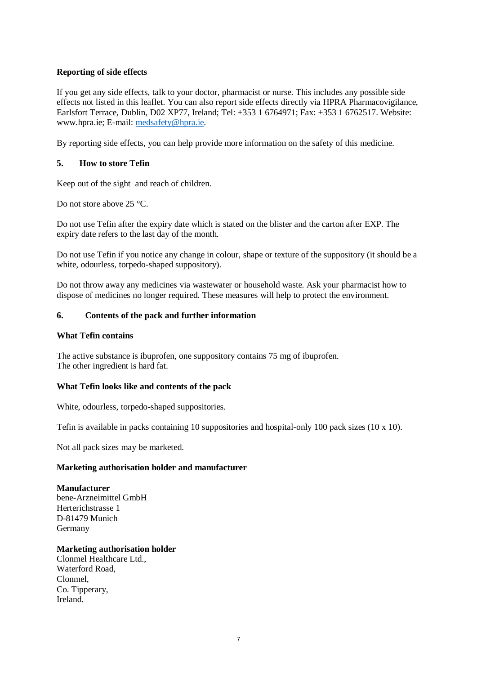## **Reporting of side effects**

If you get any side effects, talk to your doctor, pharmacist or nurse. This includes any possible side effects not listed in this leaflet. You can also report side effects directly via HPRA Pharmacovigilance, Earlsfort Terrace, Dublin, D02 XP77, Ireland; Tel: +353 1 6764971; Fax: +353 1 6762517. Website: www.hpra.ie; E-mail: [medsafety@hpra.ie.](mailto:medsafety@hpra.ie)

By reporting side effects, you can help provide more information on the safety of this medicine.

## **5. How to store Tefin**

Keep out of the sight and reach of children.

Do not store above 25 °C.

Do not use Tefin after the expiry date which is stated on the blister and the carton after EXP. The expiry date refers to the last day of the month.

Do not use Tefin if you notice any change in colour, shape or texture of the suppository (it should be a white, odourless, torpedo-shaped suppository).

Do not throw away any medicines via wastewater or household waste. Ask your pharmacist how to dispose of medicines no longer required. These measures will help to protect the environment.

### **6. Contents of the pack and further information**

#### **What Tefin contains**

The active substance is ibuprofen, one suppository contains 75 mg of ibuprofen. The other ingredient is hard fat.

### **What Tefin looks like and contents of the pack**

White, odourless, torpedo-shaped suppositories.

Tefin is available in packs containing 10 suppositories and hospital-only 100 pack sizes (10 x 10).

Not all pack sizes may be marketed.

### **Marketing authorisation holder and manufacturer**

### **Manufacturer**

bene-Arzneimittel GmbH Herterichstrasse 1 D-81479 Munich Germany

### **Marketing authorisation holder**

Clonmel Healthcare Ltd., Waterford Road, Clonmel, Co. Tipperary, Ireland.